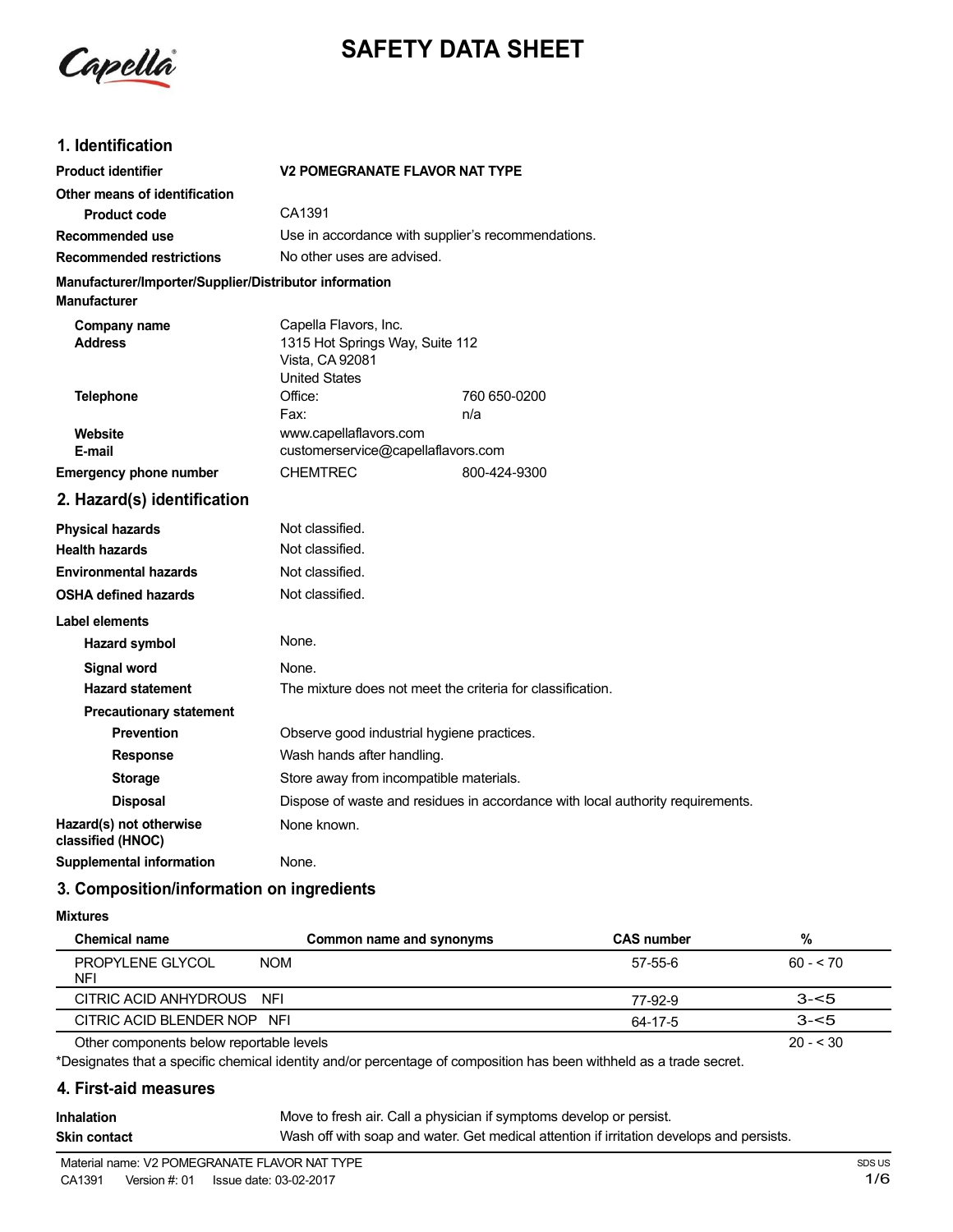

# **SAFETY DATA SHEET**

# **1. Identification**

| <b>Product identifier</b>                                                     | <b>V2 POMEGRANATE FLAVOR NAT TYPE</b>                                                               |              |  |
|-------------------------------------------------------------------------------|-----------------------------------------------------------------------------------------------------|--------------|--|
| Other means of identification                                                 |                                                                                                     |              |  |
| <b>Product code</b>                                                           | CA1391                                                                                              |              |  |
| Recommended use                                                               | Use in accordance with supplier's recommendations.                                                  |              |  |
| <b>Recommended restrictions</b>                                               | No other uses are advised.                                                                          |              |  |
| Manufacturer/Importer/Supplier/Distributor information<br><b>Manufacturer</b> |                                                                                                     |              |  |
| Company name<br><b>Address</b>                                                | Capella Flavors, Inc.<br>1315 Hot Springs Way, Suite 112<br>Vista, CA 92081<br><b>United States</b> |              |  |
| <b>Telephone</b>                                                              | Office:                                                                                             | 760 650-0200 |  |
|                                                                               | Fax:                                                                                                | n/a          |  |
| Website<br>E-mail                                                             | www.capellaflavors.com<br>customerservice@capellaflavors.com                                        |              |  |
| <b>Emergency phone number</b>                                                 | <b>CHEMTREC</b>                                                                                     | 800-424-9300 |  |
| 2. Hazard(s) identification                                                   |                                                                                                     |              |  |
| <b>Physical hazards</b>                                                       | Not classified.                                                                                     |              |  |
| <b>Health hazards</b>                                                         | Not classified.                                                                                     |              |  |
| <b>Environmental hazards</b>                                                  | Not classified.                                                                                     |              |  |
| <b>OSHA defined hazards</b>                                                   | Not classified.                                                                                     |              |  |
| <b>Label elements</b>                                                         |                                                                                                     |              |  |
| <b>Hazard symbol</b>                                                          | None.                                                                                               |              |  |
| <b>Signal word</b>                                                            | None.                                                                                               |              |  |
| <b>Hazard statement</b>                                                       | The mixture does not meet the criteria for classification.                                          |              |  |
| <b>Precautionary statement</b>                                                |                                                                                                     |              |  |
| <b>Prevention</b>                                                             | Observe good industrial hygiene practices.                                                          |              |  |
| <b>Response</b>                                                               | Wash hands after handling.                                                                          |              |  |
| <b>Storage</b>                                                                | Store away from incompatible materials.                                                             |              |  |
| <b>Disposal</b>                                                               | Dispose of waste and residues in accordance with local authority requirements.                      |              |  |
| Hazard(s) not otherwise<br>classified (HNOC)                                  | None known.                                                                                         |              |  |
| <b>Supplemental information</b>                                               | None.                                                                                               |              |  |

#### **3. Composition/information on ingredients**

#### **Mixtures**

| <b>Chemical name</b>                         | Common name and synonyms | <b>CAS number</b> | %         |
|----------------------------------------------|--------------------------|-------------------|-----------|
| <b>NOM</b><br><b>PROPYLENE GLYCOL</b><br>NFI |                          | 57-55-6           | $60 - 70$ |
| CITRIC ACID ANHYDROUS NFI                    |                          | 77-92-9           | $3 - 5$   |
| CITRIC ACID BLENDER NOP NFI                  |                          | 64-17-5           | $3 - 5$   |
| Other components below reportable levels     |                          |                   | $20 - 30$ |

Other components below reportable levels

\*Designates that a specific chemical identity and/or percentage of composition has been withheld as a trade secret.

#### **4. First-aid measures**

**Inhalation Skin contact** Move to fresh air. Call a physician if symptoms develop or persist. Wash off with soap and water. Get medical attention if irritation develops and persists.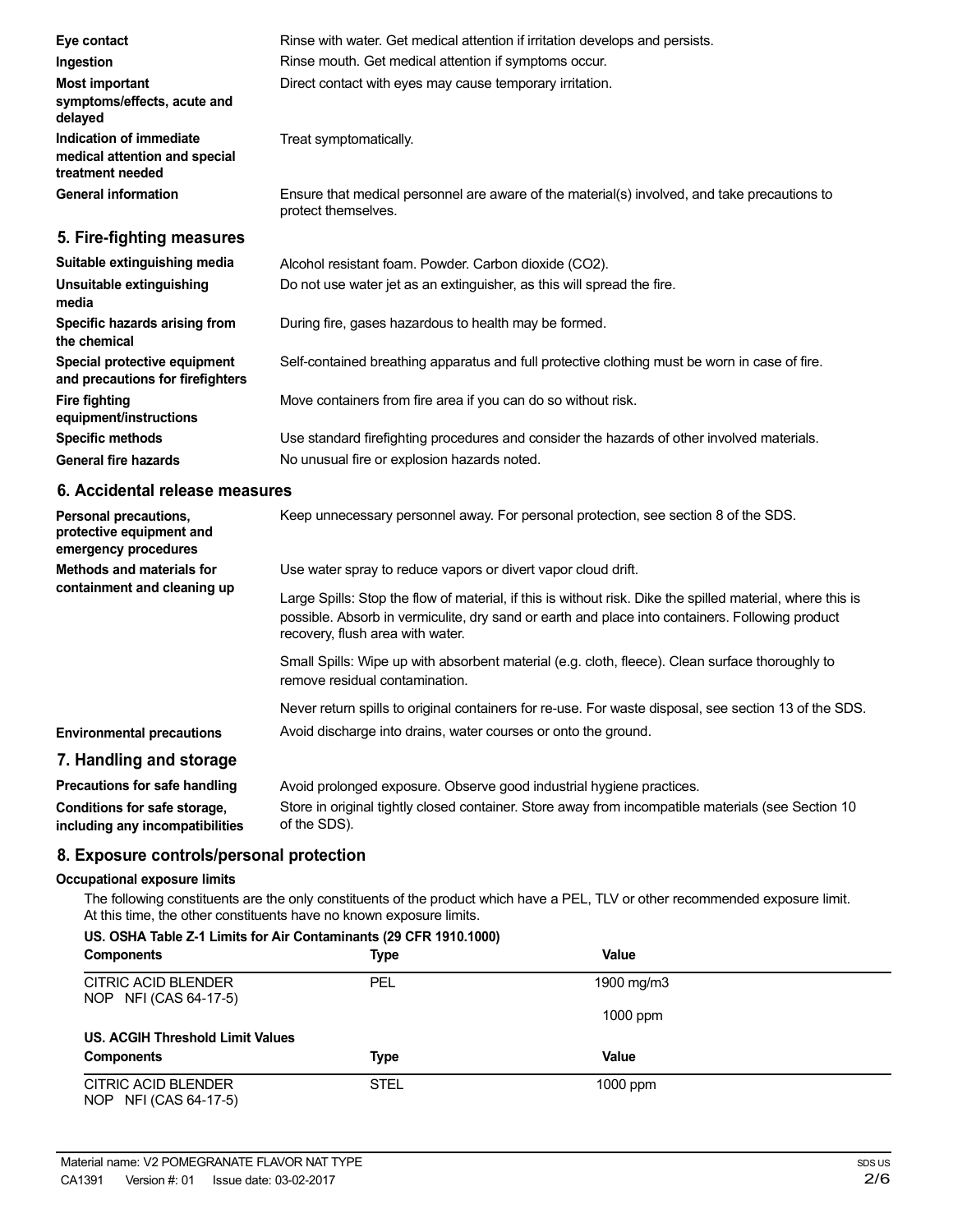| Eye contact                                                                  | Rinse with water. Get medical attention if irritation develops and persists.                                        |
|------------------------------------------------------------------------------|---------------------------------------------------------------------------------------------------------------------|
| Ingestion                                                                    | Rinse mouth. Get medical attention if symptoms occur.                                                               |
| <b>Most important</b><br>symptoms/effects, acute and<br>delayed              | Direct contact with eyes may cause temporary irritation.                                                            |
| Indication of immediate<br>medical attention and special<br>treatment needed | Treat symptomatically.                                                                                              |
| <b>General information</b>                                                   | Ensure that medical personnel are aware of the material(s) involved, and take precautions to<br>protect themselves. |
| 5. Fire-fighting measures                                                    |                                                                                                                     |
| Suitable extinguishing media                                                 | Alcohol resistant foam. Powder. Carbon dioxide (CO2).                                                               |
| Unsuitable extinguishing<br>media                                            | Do not use water jet as an extinguisher, as this will spread the fire.                                              |
| Specific hazards arising from<br>the chemical                                | During fire, gases hazardous to health may be formed.                                                               |
| Special protective equipment<br>and precautions for firefighters             | Self-contained breathing apparatus and full protective clothing must be worn in case of fire.                       |
| <b>Fire fighting</b><br>equipment/instructions                               | Move containers from fire area if you can do so without risk.                                                       |
| <b>Specific methods</b>                                                      | Use standard firefighting procedures and consider the hazards of other involved materials.                          |
| <b>General fire hazards</b>                                                  | No unusual fire or explosion hazards noted.                                                                         |

#### **6. Accidental release measures**

| Personal precautions,<br>protective equipment and<br>emergency procedures | Keep unnecessary personnel away. For personal protection, see section 8 of the SDS.                                                                                                                                                               |
|---------------------------------------------------------------------------|---------------------------------------------------------------------------------------------------------------------------------------------------------------------------------------------------------------------------------------------------|
| Methods and materials for<br>containment and cleaning up                  | Use water spray to reduce vapors or divert vapor cloud drift.                                                                                                                                                                                     |
|                                                                           | Large Spills: Stop the flow of material, if this is without risk. Dike the spilled material, where this is<br>possible. Absorb in vermiculite, dry sand or earth and place into containers. Following product<br>recovery, flush area with water. |
|                                                                           | Small Spills: Wipe up with absorbent material (e.g. cloth, fleece). Clean surface thoroughly to<br>remove residual contamination.                                                                                                                 |
|                                                                           | Never return spills to original containers for re-use. For waste disposal, see section 13 of the SDS.                                                                                                                                             |
| <b>Environmental precautions</b>                                          | Avoid discharge into drains, water courses or onto the ground.                                                                                                                                                                                    |
| 7. Handling and storage                                                   |                                                                                                                                                                                                                                                   |
| Precautions for safe handling                                             | Avoid prolonged exposure. Observe good industrial hygiene practices.                                                                                                                                                                              |

#### **Conditions for safe storage, including any incompatibilities** Store in original tightly closed container. Store away from incompatible materials (see Section 10 of the SDS).

# **8. Exposure controls/personal protection**

#### **Occupational exposure limits**

The following constituents are the only constituents of the product which have a PEL, TLV or other recommended exposure limit. At this time, the other constituents have no known exposure limits. **US. OSHA Table Z-1 Limits for Air Contaminants (29 CFR 1910.1000)**

| US. OSHA Table Z-1 Limits for Air Contaminants (29 CFR 1910.1000)<br><b>Components</b> | <b>Type</b> | Value      |  |
|----------------------------------------------------------------------------------------|-------------|------------|--|
| CITRIC ACID BLENDER<br>NOP NFI (CAS 64-17-5)                                           | <b>PEL</b>  | 1900 mg/m3 |  |
|                                                                                        |             | $1000$ ppm |  |
| US. ACGIH Threshold Limit Values                                                       |             |            |  |
| <b>Components</b>                                                                      | Type        | Value      |  |
| CITRIC ACID BLENDER<br>NOP NFI (CAS 64-17-5)                                           | <b>STEL</b> | $1000$ ppm |  |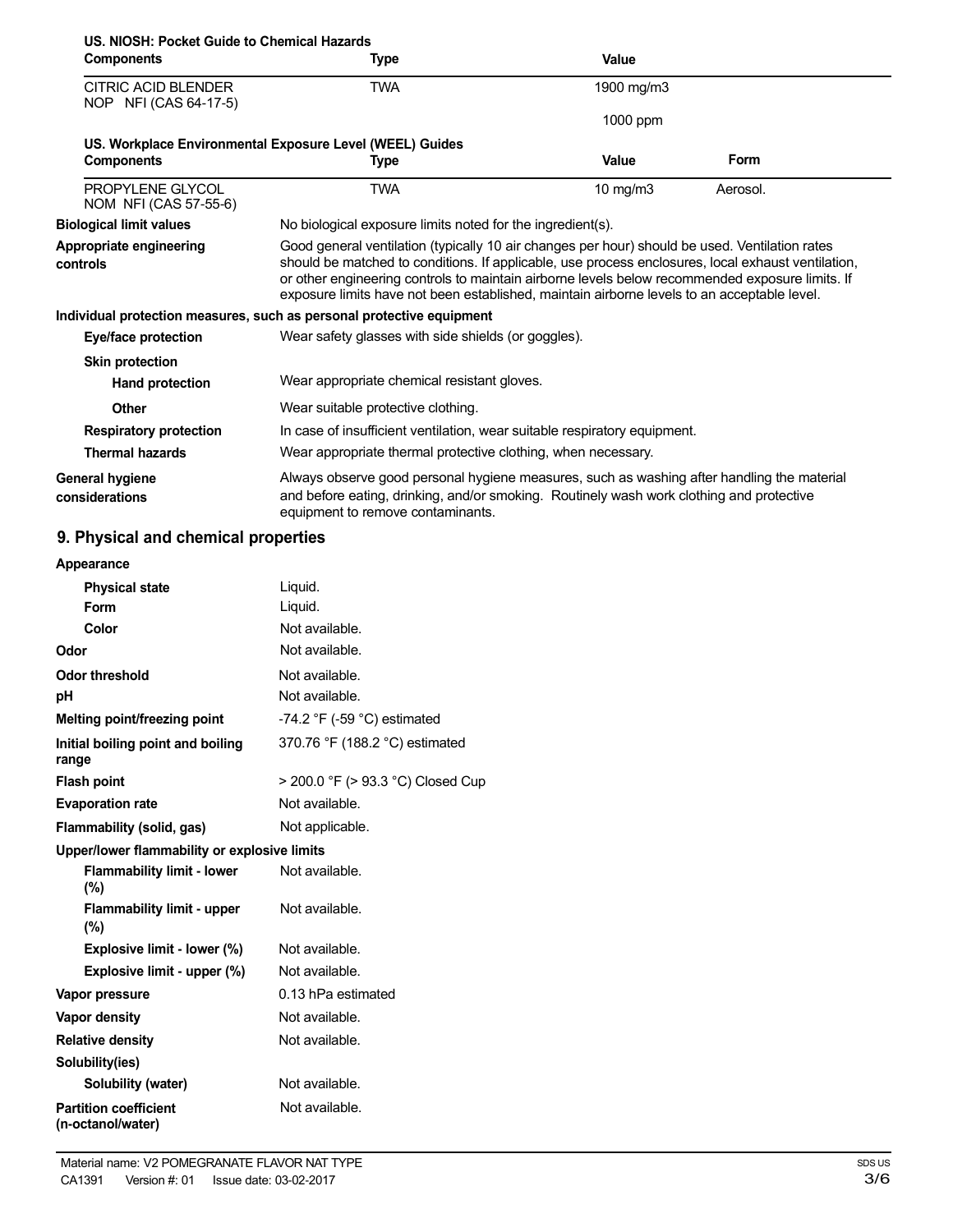| US. NIOSH: Pocket Guide to Chemical Hazards         |                                                                                                                                                                                                                                                                                                                                                                                                        |             |             |  |
|-----------------------------------------------------|--------------------------------------------------------------------------------------------------------------------------------------------------------------------------------------------------------------------------------------------------------------------------------------------------------------------------------------------------------------------------------------------------------|-------------|-------------|--|
| <b>Components</b>                                   | Type                                                                                                                                                                                                                                                                                                                                                                                                   | Value       |             |  |
| <b>CITRIC ACID BLENDER</b><br>NOP NFI (CAS 64-17-5) | <b>TWA</b>                                                                                                                                                                                                                                                                                                                                                                                             | 1900 mg/m3  |             |  |
|                                                     |                                                                                                                                                                                                                                                                                                                                                                                                        | 1000 ppm    |             |  |
|                                                     | US. Workplace Environmental Exposure Level (WEEL) Guides                                                                                                                                                                                                                                                                                                                                               |             |             |  |
| <b>Components</b>                                   | Type                                                                                                                                                                                                                                                                                                                                                                                                   | Value       | <b>Form</b> |  |
| PROPYLENE GLYCOL<br>NOM NFI (CAS 57-55-6)           | <b>TWA</b>                                                                                                                                                                                                                                                                                                                                                                                             | 10 mg/m $3$ | Aerosol.    |  |
| <b>Biological limit values</b>                      | No biological exposure limits noted for the ingredient(s).                                                                                                                                                                                                                                                                                                                                             |             |             |  |
| Appropriate engineering<br>controls                 | Good general ventilation (typically 10 air changes per hour) should be used. Ventilation rates<br>should be matched to conditions. If applicable, use process enclosures, local exhaust ventilation,<br>or other engineering controls to maintain airborne levels below recommended exposure limits. If<br>exposure limits have not been established, maintain airborne levels to an acceptable level. |             |             |  |
|                                                     | Individual protection measures, such as personal protective equipment                                                                                                                                                                                                                                                                                                                                  |             |             |  |
| Eye/face protection                                 | Wear safety glasses with side shields (or goggles).                                                                                                                                                                                                                                                                                                                                                    |             |             |  |
| <b>Skin protection</b>                              |                                                                                                                                                                                                                                                                                                                                                                                                        |             |             |  |
| Hand protection                                     | Wear appropriate chemical resistant gloves.                                                                                                                                                                                                                                                                                                                                                            |             |             |  |
| Other                                               | Wear suitable protective clothing.                                                                                                                                                                                                                                                                                                                                                                     |             |             |  |
| <b>Respiratory protection</b>                       | In case of insufficient ventilation, wear suitable respiratory equipment.                                                                                                                                                                                                                                                                                                                              |             |             |  |
| <b>Thermal hazards</b>                              | Wear appropriate thermal protective clothing, when necessary.                                                                                                                                                                                                                                                                                                                                          |             |             |  |
| General hygiene<br>considerations                   | Always observe good personal hygiene measures, such as washing after handling the material<br>and before eating, drinking, and/or smoking. Routinely wash work clothing and protective<br>equipment to remove contaminants.                                                                                                                                                                            |             |             |  |

# **9. Physical and chemical properties**

| Appearance |  |
|------------|--|

| <b>Physical state</b>                             | Liquid.                                       |  |
|---------------------------------------------------|-----------------------------------------------|--|
| Form                                              | Liquid.                                       |  |
| Color                                             | Not available.                                |  |
| Odor                                              | Not available.                                |  |
| <b>Odor threshold</b>                             | Not available.                                |  |
| рH                                                | Not available.                                |  |
| Melting point/freezing point                      | -74.2 $\degree$ F (-59 $\degree$ C) estimated |  |
| Initial boiling point and boiling<br>range        | 370.76 °F (188.2 °C) estimated                |  |
| <b>Flash point</b>                                | > 200.0 °F (> 93.3 °C) Closed Cup             |  |
| <b>Evaporation rate</b>                           | Not available.                                |  |
| Flammability (solid, gas)                         | Not applicable.                               |  |
| Upper/lower flammability or explosive limits      |                                               |  |
| <b>Flammability limit - lower</b><br>$(\% )$      | Not available.                                |  |
| <b>Flammability limit - upper</b><br>$(\%)$       | Not available.                                |  |
| Explosive limit - lower (%)                       | Not available.                                |  |
| Explosive limit - upper (%)                       | Not available.                                |  |
| Vapor pressure                                    | 0.13 hPa estimated                            |  |
| Vapor density                                     | Not available.                                |  |
| <b>Relative density</b>                           | Not available.                                |  |
| Solubility(ies)                                   |                                               |  |
| Solubility (water)                                | Not available.                                |  |
| <b>Partition coefficient</b><br>(n-octanol/water) | Not available.                                |  |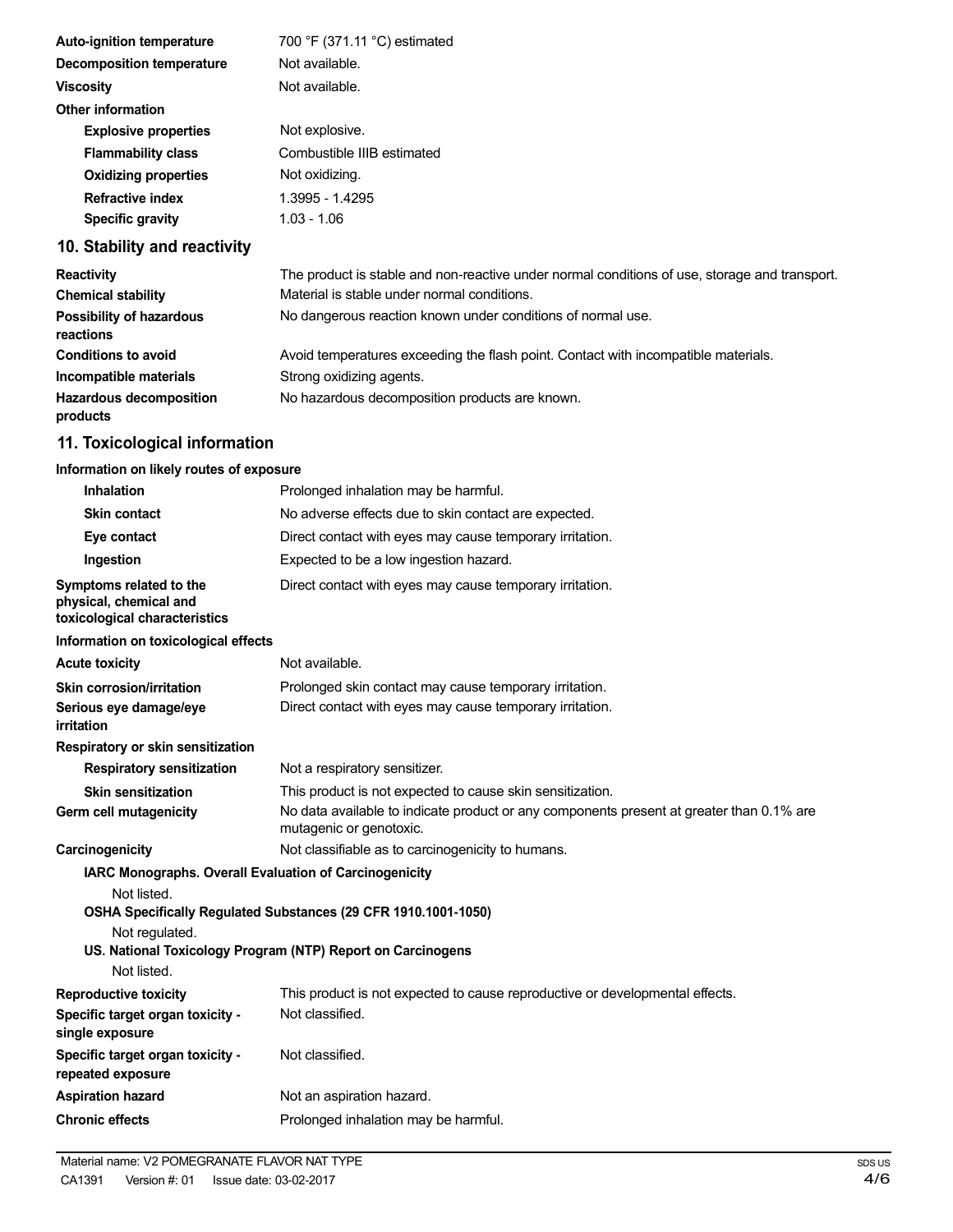| <b>Auto-ignition temperature</b> | 700 °F (371.11 °C) estimated |
|----------------------------------|------------------------------|
| Decomposition temperature        | Not available.               |
| <b>Viscosity</b>                 | Not available.               |
| <b>Other information</b>         |                              |
| <b>Explosive properties</b>      | Not explosive.               |
| <b>Flammability class</b>        | Combustible IIIB estimated   |
| <b>Oxidizing properties</b>      | Not oxidizing.               |
| <b>Refractive index</b>          | 1.3995 - 1.4295              |
| Specific gravity                 | 1.03 - 1.06                  |
|                                  |                              |

# **10. Stability and reactivity**

| <b>Reactivity</b>                            | The product is stable and non-reactive under normal conditions of use, storage and transport. |
|----------------------------------------------|-----------------------------------------------------------------------------------------------|
| <b>Chemical stability</b>                    | Material is stable under normal conditions.                                                   |
| <b>Possibility of hazardous</b><br>reactions | No dangerous reaction known under conditions of normal use.                                   |
| <b>Conditions to avoid</b>                   | Avoid temperatures exceeding the flash point. Contact with incompatible materials.            |
| Incompatible materials                       | Strong oxidizing agents.                                                                      |
| <b>Hazardous decomposition</b><br>products   | No hazardous decomposition products are known.                                                |

# **11. Toxicological information**

# **Information on likely routes of exposure**

| <b>Inhalation</b>                                                                                      | Prolonged inhalation may be harmful.                                                                                          |
|--------------------------------------------------------------------------------------------------------|-------------------------------------------------------------------------------------------------------------------------------|
| <b>Skin contact</b>                                                                                    | No adverse effects due to skin contact are expected.                                                                          |
| Eye contact                                                                                            | Direct contact with eyes may cause temporary irritation.                                                                      |
| Ingestion                                                                                              | Expected to be a low ingestion hazard.                                                                                        |
| Symptoms related to the<br>physical, chemical and<br>toxicological characteristics                     | Direct contact with eyes may cause temporary irritation.                                                                      |
| Information on toxicological effects                                                                   |                                                                                                                               |
| <b>Acute toxicity</b>                                                                                  | Not available.                                                                                                                |
| <b>Skin corrosion/irritation</b>                                                                       | Prolonged skin contact may cause temporary irritation.                                                                        |
| Serious eye damage/eye<br>irritation                                                                   | Direct contact with eyes may cause temporary irritation.                                                                      |
| Respiratory or skin sensitization                                                                      |                                                                                                                               |
| <b>Respiratory sensitization</b>                                                                       | Not a respiratory sensitizer.                                                                                                 |
| <b>Skin sensitization</b>                                                                              | This product is not expected to cause skin sensitization.                                                                     |
| Germ cell mutagenicity                                                                                 | No data available to indicate product or any components present at greater than 0.1% are<br>mutagenic or genotoxic.           |
| Carcinogenicity                                                                                        | Not classifiable as to carcinogenicity to humans.                                                                             |
| IARC Monographs. Overall Evaluation of Carcinogenicity<br>Not listed.<br>Not regulated.<br>Not listed. | OSHA Specifically Regulated Substances (29 CFR 1910.1001-1050)<br>US. National Toxicology Program (NTP) Report on Carcinogens |
| <b>Reproductive toxicity</b>                                                                           | This product is not expected to cause reproductive or developmental effects.                                                  |
| Specific target organ toxicity -<br>single exposure                                                    | Not classified.                                                                                                               |
| Specific target organ toxicity -<br>repeated exposure                                                  | Not classified.                                                                                                               |
| <b>Aspiration hazard</b>                                                                               | Not an aspiration hazard.                                                                                                     |
| <b>Chronic effects</b>                                                                                 | Prolonged inhalation may be harmful.                                                                                          |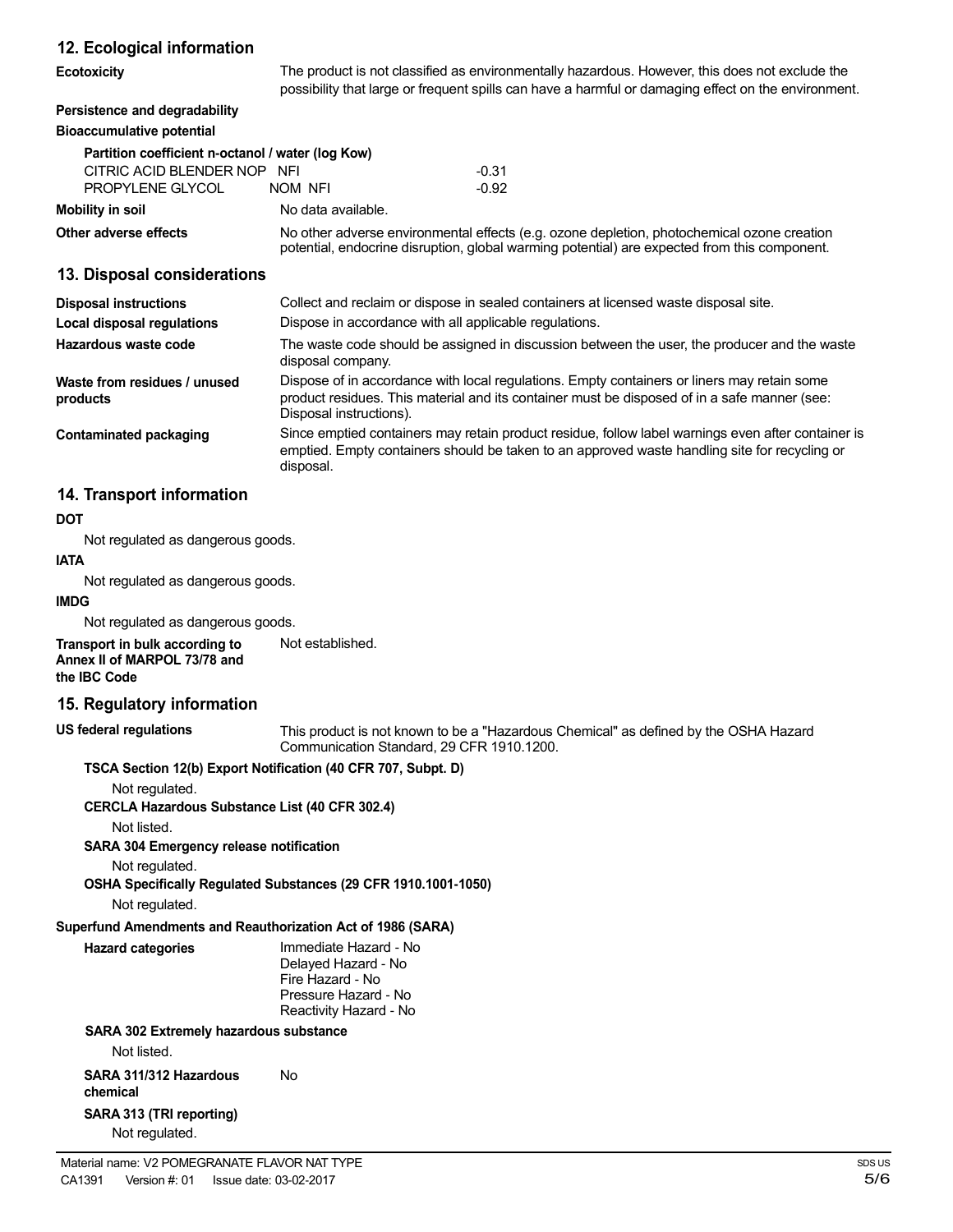#### **12. Ecological information**

| <b>Ecotoxicity</b> |  |
|--------------------|--|
|                    |  |

**Example The product is not classified as environmentally hazardous. However, this does not exclude the** possibility that large or frequent spills can have a harmful or damaging effect on the environment.

#### **Persistence and degradability Bioaccumulative potential**

| Partition coefficient n-octanol / water (log Kow) |                                                                                                                                                                                            |         |  |
|---------------------------------------------------|--------------------------------------------------------------------------------------------------------------------------------------------------------------------------------------------|---------|--|
| CITRIC ACID BLENDER NOP<br><b>NFI</b>             |                                                                                                                                                                                            | $-0.31$ |  |
| PROPYLENE GLYCOL                                  | NOM NFI                                                                                                                                                                                    | $-0.92$ |  |
| Mobility in soil                                  | No data available.                                                                                                                                                                         |         |  |
| Other adverse effects                             | No other adverse environmental effects (e.g. ozone depletion, photochemical ozone creation<br>potential, endocrine disruption, global warming potential) are expected from this component. |         |  |

#### **13. Disposal considerations**

| <b>Disposal instructions</b>             | Collect and reclaim or dispose in sealed containers at licensed waste disposal site.                                                                                                                                   |  |
|------------------------------------------|------------------------------------------------------------------------------------------------------------------------------------------------------------------------------------------------------------------------|--|
| <b>Local disposal regulations</b>        | Dispose in accordance with all applicable regulations.                                                                                                                                                                 |  |
| Hazardous waste code                     | The waste code should be assigned in discussion between the user, the producer and the waste<br>disposal company.                                                                                                      |  |
| Waste from residues / unused<br>products | Dispose of in accordance with local regulations. Empty containers or liners may retain some<br>product residues. This material and its container must be disposed of in a safe manner (see:<br>Disposal instructions). |  |
| Contaminated packaging                   | Since emptied containers may retain product residue, follow label warnings even after container is<br>emptied. Empty containers should be taken to an approved waste handling site for recycling or<br>disposal.       |  |

### **14. Transport information**

#### **DOT**

Not regulated as dangerous goods.

#### **IATA** Not regulated as dangerous goods.

**IMDG**

Not regulated as dangerous goods.

**Transport in bulk according to Annex II of MARPOL 73/78 and the IBC Code** Not established.

#### **15. Regulatory information**

**US federal regulations**

This product is not known to be a "Hazardous Chemical" as defined by the OSHA Hazard Communication Standard, 29 CFR 1910.1200.

#### **TSCA Section 12(b) Export Notification (40 CFR 707, Subpt. D)**

Not regulated.

**CERCLA Hazardous Substance List (40 CFR 302.4)**

Not listed.

**SARA 304 Emergency release notification**

Not regulated.

**OSHA Specifically Regulated Substances (29 CFR 1910.1001-1050)**

Not regulated.

# **Superfund Amendments and Reauthorization Act of 1986 (SARA)**

| <b>Hazard categories</b> | Immediate Hazard - No<br>Delayed Hazard - No<br>Fire Hazard - No<br>Pressure Hazard - No<br>Reactivity Hazard - No |
|--------------------------|--------------------------------------------------------------------------------------------------------------------|
|                          |                                                                                                                    |

#### **SARA 302 Extremely hazardous substance**

Not listed.

**SARA 311/312 Hazardous chemical SARA 313 (TRI reporting)** No

Not regulated.